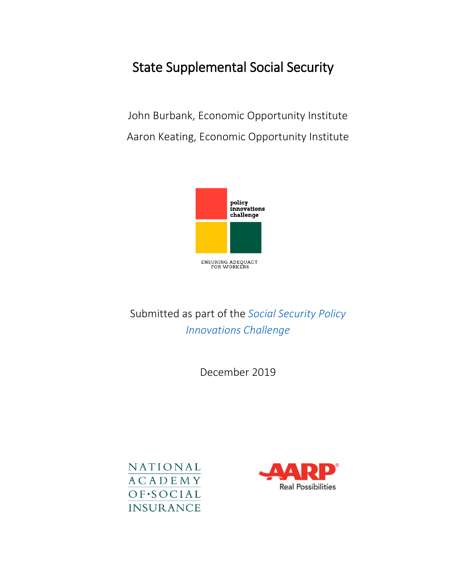# State Supplemental Social Security

John Burbank, Economic Opportunity Institute Aaron Keating, Economic Opportunity Institute



### Submitted as part of the *[Social Security Policy](https://www.nasi.org/research/2019/ensuring-social-security-adequacy-workers-four-innovative)  [Innovations Challenge](https://www.nasi.org/research/2019/ensuring-social-security-adequacy-workers-four-innovative)*

December 2019



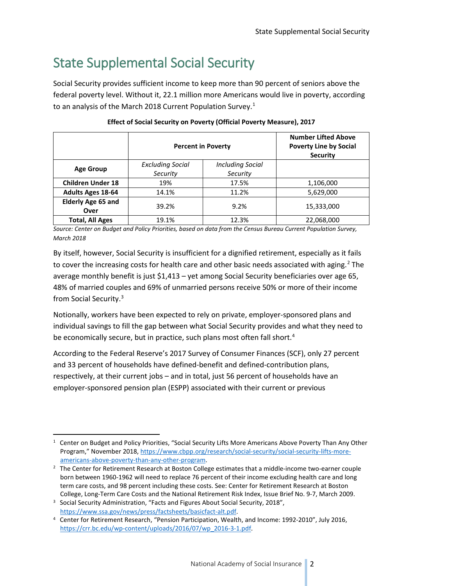## State Supplemental Social Security

Social Security provides sufficient income to keep more than 90 percent of seniors above the federal poverty level. Without it, 22.1 million more Americans would live in poverty, according to an analysis of the March 20[1](#page-1-0)8 Current Population Survey.<sup>1</sup>

|                           | <b>Percent in Poverty</b> | <b>Number Lifted Above</b><br><b>Poverty Line by Social</b><br><b>Security</b> |            |  |
|---------------------------|---------------------------|--------------------------------------------------------------------------------|------------|--|
| <b>Age Group</b>          | <b>Excluding Social</b>   | <b>Including Social</b>                                                        |            |  |
|                           | Security                  | Security                                                                       |            |  |
| <b>Children Under 18</b>  | 19%                       | 17.5%                                                                          | 1,106,000  |  |
| <b>Adults Ages 18-64</b>  | 14.1%                     | 11.2%                                                                          | 5,629,000  |  |
| <b>Elderly Age 65 and</b> | 39.2%                     |                                                                                | 15,333,000 |  |
| Over                      |                           | 9.2%                                                                           |            |  |
| <b>Total, All Ages</b>    | 19.1%                     | 12.3%                                                                          | 22,068,000 |  |

#### **Effect of Social Security on Poverty (Official Poverty Measure), 2017**

*Source: Center on Budget and Policy Priorities, based on data from the Census Bureau Current Population Survey, March 2018*

By itself, however, Social Security is insufficient for a dignified retirement, especially as it fails to cover the increasing costs for health care and other basic needs associated with aging.<sup>[2](#page-1-1)</sup> The average monthly benefit is just \$1,413 – yet among Social Security beneficiaries over age 65, 48% of married couples and 69% of unmarried persons receive 50% or more of their income from Social Security.[3](#page-1-2)

Notionally, workers have been expected to rely on private, employer-sponsored plans and individual savings to fill the gap between what Social Security provides and what they need to be economically secure, but in practice, such plans most often fall short.<sup>[4](#page-1-3)</sup>

According to the Federal Reserve's 2017 Survey of Consumer Finances (SCF), only 27 percent and 33 percent of households have defined-benefit and defined-contribution plans, respectively, at their current jobs – and in total, just 56 percent of households have an employer-sponsored pension plan (ESPP) associated with their current or previous

<span id="page-1-0"></span><sup>&</sup>lt;sup>1</sup> Center on Budget and Policy Priorities, "Social Security Lifts More Americans Above Poverty Than Any Other Program," November 2018[, https://www.cbpp.org/research/social-security/social-security-lifts-more](https://www.cbpp.org/research/social-security/social-security-lifts-more-americans-above-poverty-than-any-other-program)[americans-above-poverty-than-any-other-program.](https://www.cbpp.org/research/social-security/social-security-lifts-more-americans-above-poverty-than-any-other-program) 2 The Center for Retirement Research at Boston College estimates that a middle-income two-earner couple

<span id="page-1-1"></span>born between 1960-1962 will need to replace 76 percent of their income excluding health care and long term care costs, and 98 percent including these costs. See: Center for Retirement Research at Boston College, Long-Term Care Costs and the National Retirement Risk Index, Issue Brief No. 9-7, March 2009.

<span id="page-1-2"></span><sup>&</sup>lt;sup>3</sup> Social Security Administration, "Facts and Figures About Social Security, 2018", [https://www.ssa.gov/news/press/factsheets/basicfact-alt.pdf.](https://www.ssa.gov/news/press/factsheets/basicfact-alt.pdf)

<span id="page-1-3"></span><sup>4</sup> Center for Retirement Research, "Pension Participation, Wealth, and Income: 1992-2010", July 2016, [https://crr.bc.edu/wp-content/uploads/2016/07/wp\\_2016-3-1.pdf.](https://crr.bc.edu/wp-content/uploads/2016/07/wp_2016-3-1.pdf)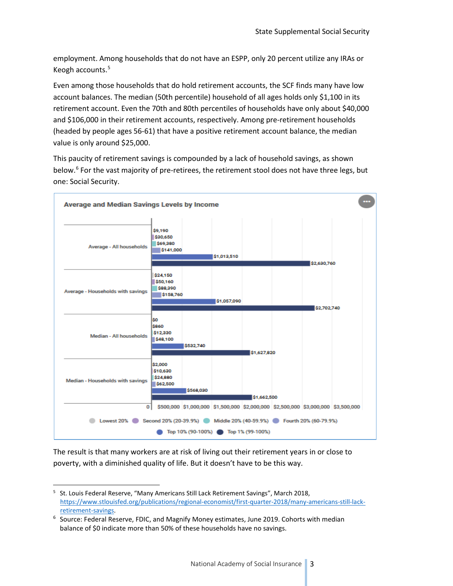employment. Among households that do not have an ESPP, only 20 percent utilize any IRAs or Keogh accounts.[5](#page-2-0)

Even among those households that do hold retirement accounts, the SCF finds many have low account balances. The median (50th percentile) household of all ages holds only \$1,100 in its retirement account. Even the 70th and 80th percentiles of households have only about \$40,000 and \$106,000 in their retirement accounts, respectively. Among pre-retirement households (headed by people ages 56-61) that have a positive retirement account balance, the median value is only around \$25,000.

This paucity of retirement savings is compounded by a lack of household savings, as shown below.<sup>[6](#page-2-1)</sup> For the vast majority of pre-retirees, the retirement stool does not have three legs, but one: Social Security.



The result is that many workers are at risk of living out their retirement years in or close to poverty, with a diminished quality of life. But it doesn't have to be this way.

<span id="page-2-0"></span> <sup>5</sup> St. Louis Federal Reserve, "Many Americans Still Lack Retirement Savings", March 2018, [https://www.stlouisfed.org/publications/regional-economist/first-quarter-2018/many-americans-still-lack](https://www.stlouisfed.org/publications/regional-economist/first-quarter-2018/many-americans-still-lack-retirement-savings)[retirement-savings.](https://www.stlouisfed.org/publications/regional-economist/first-quarter-2018/many-americans-still-lack-retirement-savings)<br><sup>6</sup> Source: Federal Reserve, FDIC, and Magnify Money estimates, June 2019. Cohorts with median

<span id="page-2-1"></span>balance of \$0 indicate more than 50% of these households have no savings.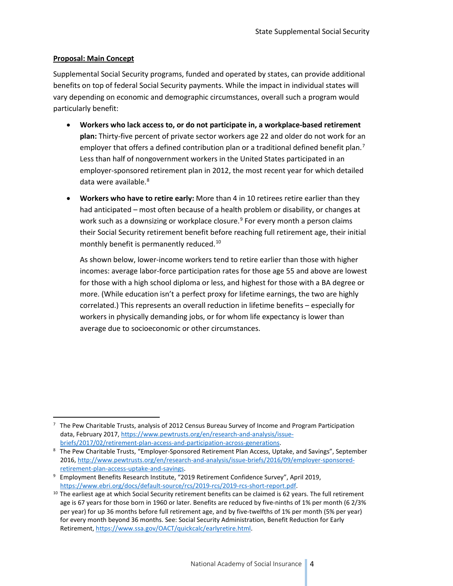#### **Proposal: Main Concept**

Supplemental Social Security programs, funded and operated by states, can provide additional benefits on top of federal Social Security payments. While the impact in individual states will vary depending on economic and demographic circumstances, overall such a program would particularly benefit:

- **Workers who lack access to, or do not participate in, a workplace-based retirement plan:** Thirty-five percent of private sector workers age 22 and older do not work for an employer that offers a defined contribution plan or a traditional defined benefit plan.<sup>[7](#page-3-0)</sup> Less than half of nongovernment workers in the United States participated in an employer-sponsored retirement plan in 2012, the most recent year for which detailed data were available.<sup>8</sup>
- **Workers who have to retire early:** More than 4 in 10 retirees retire earlier than they had anticipated – most often because of a health problem or disability, or changes at work such as a downsizing or workplace closure.<sup>[9](#page-3-2)</sup> For every month a person claims their Social Security retirement benefit before reaching full retirement age, their initial monthly benefit is permanently reduced.<sup>[10](#page-3-3)</sup>

As shown below, lower-income workers tend to retire earlier than those with higher incomes: average labor-force participation rates for those age 55 and above are lowest for those with a high school diploma or less, and highest for those with a BA degree or more. (While education isn't a perfect proxy for lifetime earnings, the two are highly correlated.) This represents an overall reduction in lifetime benefits – especially for workers in physically demanding jobs, or for whom life expectancy is lower than average due to socioeconomic or other circumstances.

<span id="page-3-0"></span> $7$  The Pew Charitable Trusts, analysis of 2012 Census Bureau Survey of Income and Program Participation data, February 2017[, https://www.pewtrusts.org/en/research-and-analysis/issue-](https://www.pewtrusts.org/en/research-and-analysis/issue-briefs/2017/02/retirement-plan-access-and-participation-across-generations)

<span id="page-3-1"></span>[briefs/2017/02/retirement-plan-access-and-participation-across-generations.](https://www.pewtrusts.org/en/research-and-analysis/issue-briefs/2017/02/retirement-plan-access-and-participation-across-generations) 8 The Pew Charitable Trusts, "Employer-Sponsored Retirement Plan Access, Uptake, and Savings", September 2016, [http://www.pewtrusts.org/en/research-and-analysis/issue-briefs/2016/09/employer-sponsored](http://www.pewtrusts.org/en/research-and-analysis/issue-briefs/2016/09/employer-sponsored-retirement-plan-access-uptake-and-savings)[retirement-plan-access-uptake-and-savings.](http://www.pewtrusts.org/en/research-and-analysis/issue-briefs/2016/09/employer-sponsored-retirement-plan-access-uptake-and-savings) 9 Employment Benefits Research Institute, "2019 Retirement Confidence Survey", April 2019,

<span id="page-3-2"></span>[https://www.ebri.org/docs/default-source/rcs/2019-rcs/2019-rcs-short-report.pdf.](https://www.ebri.org/docs/default-source/rcs/2019-rcs/2019-rcs-short-report.pdf) 10 The earliest age at which Social Security retirement benefits can be claimed is 62 years. The full retirement

<span id="page-3-3"></span>age is 67 years for those born in 1960 or later. Benefits are reduced by five-ninths of 1% per month (6 2/3% per year) for up 36 months before full retirement age, and by five-twelfths of 1% per month (5% per year) for every month beyond 36 months. See: Social Security Administration, Benefit Reduction for Early Retirement[, https://www.ssa.gov/OACT/quickcalc/earlyretire.html.](https://www.ssa.gov/OACT/quickcalc/earlyretire.html)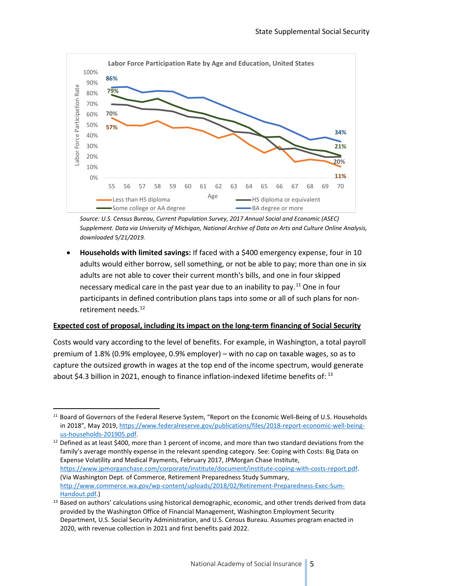

*Source: U.S. Census Bureau, Current Population Survey, 2017 Annual Social and Economic (ASEC) Supplement. Data via University of Michigan, National Archive of Data on Arts and Culture Online Analysis, downloaded 5/21/2019.*

• **Households with limited savings:** If faced with a \$400 emergency expense, four in 10 adults would either borrow, sell something, or not be able to pay; more than one in six adults are not able to cover their current month's bills, and one in four skipped necessary medical care in the past year due to an inability to pay.<sup>[11](#page-4-0)</sup> One in four participants in defined contribution plans taps into some or all of such plans for non-retirement needs.<sup>[12](#page-4-1)</sup>

#### **Expected cost of proposal, including its impact on the long-term financing of Social Security**

Costs would vary according to the level of benefits. For example, in Washington, a total payroll premium of 1.8% (0.9% employee, 0.9% employer) – with no cap on taxable wages, so as to capture the outsized growth in wages at the top end of the income spectrum, would generate about \$4.3 billion in 2021, enough to finance inflation-indexed lifetime benefits of:  $^{13}$  $^{13}$  $^{13}$ 

<span id="page-4-0"></span> <sup>11</sup> Board of Governors of the Federal Reserve System, "Report on the Economic Well-Being of U.S. Households in 2018", May 2019[, https://www.federalreserve.gov/publications/files/2018-report-economic-well-being](https://www.federalreserve.gov/publications/files/2018-report-economic-well-being-us-households-201905.pdf)us-households-201905.pdf.<br><sup>12</sup> Defined as at least \$400, more than 1 percent of income, and more than two standard deviations from the

<span id="page-4-1"></span>family's average monthly expense in the relevant spending category. See: Coping with Costs: Big Data on Expense Volatility and Medical Payments, February 2017, JPMorgan Chase Institute, [https://www.jpmorganchase.com/corporate/institute/document/institute-coping-with-costs-report.pdf.](https://www.jpmorganchase.com/corporate/institute/document/institute-coping-with-costs-report.pdf) (Via Washington Dept. of Commerce, Retirement Preparedness Study Summary, [http://www.commerce.wa.gov/wp-content/uploads/2018/02/Retirement-Preparedness-Exec-Sum-](http://www.commerce.wa.gov/wp-content/uploads/2018/02/Retirement-Preparedness-Exec-Sum-Handout.pdf)[Handout.pdf.\)](http://www.commerce.wa.gov/wp-content/uploads/2018/02/Retirement-Preparedness-Exec-Sum-Handout.pdf)

<span id="page-4-2"></span><sup>&</sup>lt;sup>13</sup> Based on authors' calculations using historical demographic, economic, and other trends derived from data provided by the Washington Office of Financial Management, Washington Employment Security Department, U.S. Social Security Administration, and U.S. Census Bureau. Assumes program enacted in 2020, with revenue collection in 2021 and first benefits paid 2022.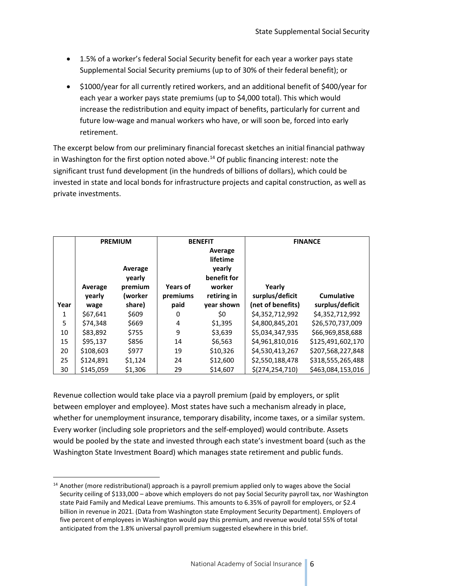- 1.5% of a worker's federal Social Security benefit for each year a worker pays state Supplemental Social Security premiums (up to of 30% of their federal benefit); or
- \$1000/year for all currently retired workers, and an additional benefit of \$400/year for each year a worker pays state premiums (up to \$4,000 total). This which would increase the redistribution and equity impact of benefits, particularly for current and future low-wage and manual workers who have, or will soon be, forced into early retirement.

The excerpt below from our preliminary financial forecast sketches an initial financial pathway in Washington for the first option noted above.<sup>[14](#page-5-0)</sup> Of public financing interest: note the significant trust fund development (in the hundreds of billions of dollars), which could be invested in state and local bonds for infrastructure projects and capital construction, as well as private investments.

|      | <b>PREMIUM</b> |         | <b>BENEFIT</b>      |             | <b>FINANCE</b>    |                   |
|------|----------------|---------|---------------------|-------------|-------------------|-------------------|
|      |                |         | Average<br>lifetime |             |                   |                   |
|      |                |         |                     |             |                   |                   |
|      |                | Average |                     | yearly      |                   |                   |
|      |                | yearly  |                     | benefit for |                   |                   |
|      | Average        | premium | Years of            | worker      | Yearly            |                   |
|      | yearly         | (worker | premiums            | retiring in | surplus/deficit   | <b>Cumulative</b> |
| Year | wage           | share)  | paid                | year shown  | (net of benefits) | surplus/deficit   |
| 1    | \$67,641       | \$609   | 0                   | \$0         | \$4,352,712,992   | \$4,352,712,992   |
| 5    | \$74.348       | \$669   | 4                   | \$1,395     | \$4,800,845,201   | \$26,570,737,009  |
| 10   | \$83,892       | \$755   | 9                   | \$3,639     | \$5,034,347,935   | \$66,969,858,688  |
| 15   | \$95,137       | \$856   | 14                  | \$6,563     | \$4,961,810,016   | \$125,491,602,170 |
| 20   | \$108,603      | \$977   | 19                  | \$10,326    | \$4,530,413,267   | \$207,568,227,848 |
| 25   | \$124,891      | \$1,124 | 24                  | \$12,600    | \$2,550,188,478   | \$318,555,265,488 |
| 30   | \$145.059      | \$1,306 | 29                  | \$14,607    | \$(274, 254, 710) | \$463.084.153.016 |

Revenue collection would take place via a payroll premium (paid by employers, or split between employer and employee). Most states have such a mechanism already in place, whether for unemployment insurance, temporary disability, income taxes, or a similar system. Every worker (including sole proprietors and the self-employed) would contribute. Assets would be pooled by the state and invested through each state's investment board (such as the Washington State Investment Board) which manages state retirement and public funds.

<span id="page-5-0"></span><sup>&</sup>lt;sup>14</sup> Another (more redistributional) approach is a payroll premium applied only to wages above the Social Security ceiling of \$133,000 – above which employers do not pay Social Security payroll tax, nor Washington state Paid Family and Medical Leave premiums. This amounts to 6.35% of payroll for employers, or \$2.4 billion in revenue in 2021. (Data from Washington state Employment Security Department). Employers of five percent of employees in Washington would pay this premium, and revenue would total 55% of total anticipated from the 1.8% universal payroll premium suggested elsewhere in this brief.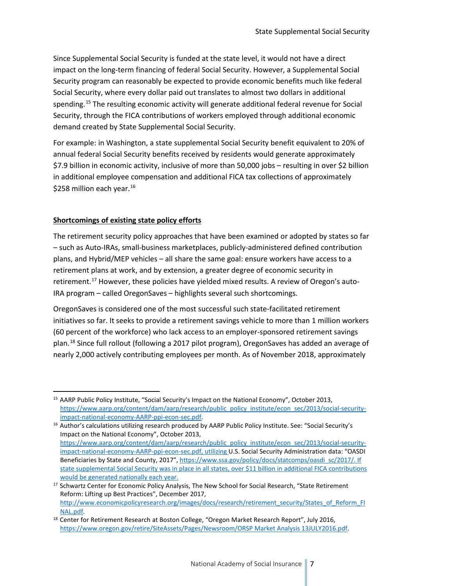Since Supplemental Social Security is funded at the state level, it would not have a direct impact on the long-term financing of federal Social Security. However, a Supplemental Social Security program can reasonably be expected to provide economic benefits much like federal Social Security, where every dollar paid out translates to almost two dollars in additional spending.[15](#page-6-0) The resulting economic activity will generate additional federal revenue for Social Security, through the FICA contributions of workers employed through additional economic demand created by State Supplemental Social Security.

For example: in Washington, a state supplemental Social Security benefit equivalent to 20% of annual federal Social Security benefits received by residents would generate approximately \$7.9 billion in economic activity, inclusive of more than 50,000 jobs – resulting in over \$2 billion in additional employee compensation and additional FICA tax collections of approximately \$258 million each year.<sup>[16](#page-6-1)</sup>

#### **Shortcomings of existing state policy efforts**

The retirement security policy approaches that have been examined or adopted by states so far – such as Auto-IRAs, small-business marketplaces, publicly-administered defined contribution plans, and Hybrid/MEP vehicles – all share the same goal: ensure workers have access to a retirement plans at work, and by extension, a greater degree of economic security in retirement.<sup>[17](#page-6-2)</sup> However, these policies have yielded mixed results. A review of Oregon's auto-IRA program – called OregonSaves – highlights several such shortcomings.

OregonSaves is considered one of the most successful such state-facilitated retirement initiatives so far. It seeks to provide a retirement savings vehicle to more than 1 million workers (60 percent of the workforce) who lack access to an employer-sponsored retirement savings plan.[18](#page-6-3) Since full rollout (following a 2017 pilot program), OregonSaves has added an average of nearly 2,000 actively contributing employees per month. As of November 2018, approximately

<span id="page-6-0"></span> <sup>15</sup> AARP Public Policy Institute, "Social Security's Impact on the National Economy", October 2013, [https://www.aarp.org/content/dam/aarp/research/public\\_policy\\_institute/econ\\_sec/2013/social-security](https://www.aarp.org/content/dam/aarp/research/public_policy_institute/econ_sec/2013/social-security-impact-national-economy-AARP-ppi-econ-sec.pdf)[impact-national-economy-AARP-ppi-econ-sec.pdf.](https://www.aarp.org/content/dam/aarp/research/public_policy_institute/econ_sec/2013/social-security-impact-national-economy-AARP-ppi-econ-sec.pdf) 16 Author's calculations utilizing research produced by AARP Public Policy Institute. See: "Social Security's

<span id="page-6-1"></span>Impact on the National Economy", October 2013, [https://www.aarp.org/content/dam/aarp/research/public\\_policy\\_institute/econ\\_sec/2013/social-security](https://www.aarp.org/content/dam/aarp/research/public_policy_institute/econ_sec/2013/social-security-impact-national-economy-AARP-ppi-econ-sec.pdf)[impact-national-economy-AARP-ppi-econ-sec.pdf,](https://www.aarp.org/content/dam/aarp/research/public_policy_institute/econ_sec/2013/social-security-impact-national-economy-AARP-ppi-econ-sec.pdf) utilizing U.S. Social Security Administration data: "OASDI Beneficiaries by State and County, 2017", [https://www.ssa.gov/policy/docs/statcomps/oasdi\\_sc/2017/.](https://www.ssa.gov/policy/docs/statcomps/oasdi_sc/2017/) If state supplemental Social Security was in place in all states, over \$11 billion in additional FICA contributions

<span id="page-6-2"></span>would be generated nationally each year. <sup>17</sup> Schwartz Center for Economic Policy Analysis, The New School for Social Research, "State Retirement Reform: Lifting up Best Practices", December 2017, [http://www.economicpolicyresearch.org/images/docs/research/retirement\\_security/States\\_of\\_Reform\\_FI](http://www.economicpolicyresearch.org/images/docs/research/retirement_security/States_of_Reform_FINAL.pdf)

<span id="page-6-3"></span>NAL.pdf.<br><sup>18</sup> Center for Retirement Research at Boston College, "Oregon Market Research Report", July 2016, [https://www.oregon.gov/retire/SiteAssets/Pages/Newsroom/ORSP Market Analysis 13JULY2016.pdf.](https://www.oregon.gov/retire/SiteAssets/Pages/Newsroom/ORSP%20Market%20Analysis%2013JULY2016.pdf)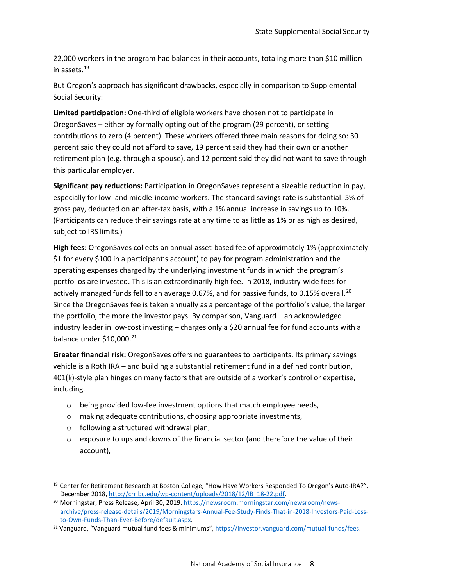22,000 workers in the program had balances in their accounts, totaling more than \$10 million in assets[.19](#page-7-0)

But Oregon's approach has significant drawbacks, especially in comparison to Supplemental Social Security:

**Limited participation:** One-third of eligible workers have chosen not to participate in OregonSaves – either by formally opting out of the program (29 percent), or setting contributions to zero (4 percent). These workers offered three main reasons for doing so: 30 percent said they could not afford to save, 19 percent said they had their own or another retirement plan (e.g. through a spouse), and 12 percent said they did not want to save through this particular employer.

**Significant pay reductions:** Participation in OregonSaves represent a sizeable reduction in pay, especially for low- and middle-income workers. The standard savings rate is substantial: 5% of gross pay, deducted on an after-tax basis, with a 1% annual increase in savings up to 10%. (Participants can reduce their savings rate at any time to as little as 1% or as high as desired, subject to IRS limits.)

**High fees:** OregonSaves collects an annual asset-based fee of approximately 1% (approximately \$1 for every \$100 in a participant's account) to pay for program administration and the operating expenses charged by the underlying investment funds in which the program's portfolios are invested. This is an extraordinarily high fee. In 2018, industry-wide fees for actively managed funds fell to an average 0.67%, and for passive funds, to 0.15% overall.<sup>[20](#page-7-1)</sup> Since the OregonSaves fee is taken annually as a percentage of the portfolio's value, the larger the portfolio, the more the investor pays. By comparison, Vanguard – an acknowledged industry leader in low-cost investing – charges only a \$20 annual fee for fund accounts with a balance under  $$10,000.<sup>21</sup>$  $$10,000.<sup>21</sup>$  $$10,000.<sup>21</sup>$ 

**Greater financial risk:** OregonSaves offers no guarantees to participants. Its primary savings vehicle is a Roth IRA – and building a substantial retirement fund in a defined contribution, 401(k)-style plan hinges on many factors that are outside of a worker's control or expertise, including.

- o being provided low-fee investment options that match employee needs,
- o making adequate contributions, choosing appropriate investments,
- o following a structured withdrawal plan,
- $\circ$  exposure to ups and downs of the financial sector (and therefore the value of their account),

<span id="page-7-0"></span> <sup>19</sup> Center for Retirement Research at Boston College, "How Have Workers Responded To Oregon's Auto-IRA?", December 2018, http://crr.bc.edu/wp-content/uploads/2018/12/IB\_18-22.pdf.<br><sup>20</sup> Morningstar, Press Release, April 30, 2019[: https://newsroom.morningstar.com/newsroom/news-](https://newsroom.morningstar.com/newsroom/news-archive/press-release-details/2019/Morningstars-Annual-Fee-Study-Finds-That-in-2018-Investors-Paid-Less-to-Own-Funds-Than-Ever-Before/default.aspx)

<span id="page-7-1"></span>[archive/press-release-details/2019/Morningstars-Annual-Fee-Study-Finds-That-in-2018-Investors-Paid-Less](https://newsroom.morningstar.com/newsroom/news-archive/press-release-details/2019/Morningstars-Annual-Fee-Study-Finds-That-in-2018-Investors-Paid-Less-to-Own-Funds-Than-Ever-Before/default.aspx)[to-Own-Funds-Than-Ever-Before/default.aspx.](https://newsroom.morningstar.com/newsroom/news-archive/press-release-details/2019/Morningstars-Annual-Fee-Study-Finds-That-in-2018-Investors-Paid-Less-to-Own-Funds-Than-Ever-Before/default.aspx) 21 Vanguard, "Vanguard mutual fund fees & minimums"[, https://investor.vanguard.com/mutual-funds/fees.](https://investor.vanguard.com/mutual-funds/fees) 

<span id="page-7-2"></span>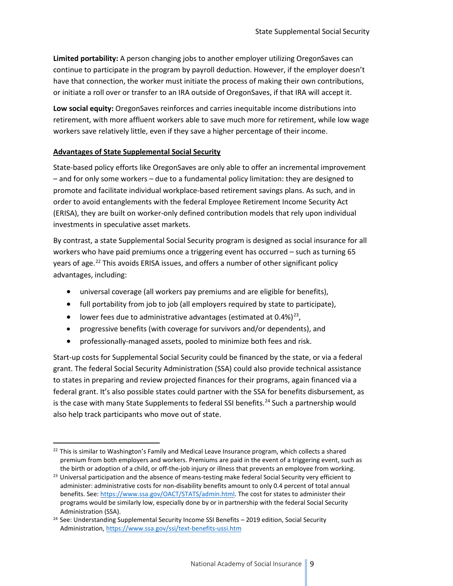**Limited portability:** A person changing jobs to another employer utilizing OregonSaves can continue to participate in the program by payroll deduction. However, if the employer doesn't have that connection, the worker must initiate the process of making their own contributions, or initiate a roll over or transfer to an IRA outside of OregonSaves, if that IRA will accept it.

**Low social equity:** OregonSaves reinforces and carries inequitable income distributions into retirement, with more affluent workers able to save much more for retirement, while low wage workers save relatively little, even if they save a higher percentage of their income.

#### **Advantages of State Supplemental Social Security**

State-based policy efforts like OregonSaves are only able to offer an incremental improvement – and for only some workers – due to a fundamental policy limitation: they are designed to promote and facilitate individual workplace-based retirement savings plans. As such, and in order to avoid entanglements with the federal Employee Retirement Income Security Act (ERISA), they are built on worker-only defined contribution models that rely upon individual investments in speculative asset markets.

By contrast, a state Supplemental Social Security program is designed as social insurance for all workers who have paid premiums once a triggering event has occurred – such as turning 65 years of age.<sup>[22](#page-8-0)</sup> This avoids ERISA issues, and offers a number of other significant policy advantages, including:

- universal coverage (all workers pay premiums and are eligible for benefits),
- full portability from job to job (all employers required by state to participate),
- lower fees due to administrative advantages (estimated at  $0.4\%/^{23}$ ,
- progressive benefits (with coverage for survivors and/or dependents), and
- professionally-managed assets, pooled to minimize both fees and risk.

Start-up costs for Supplemental Social Security could be financed by the state, or via a federal grant. The federal Social Security Administration (SSA) could also provide technical assistance to states in preparing and review projected finances for their programs, again financed via a federal grant. It's also possible states could partner with the SSA for benefits disbursement, as is the case with many State Supplements to federal SSI benefits.<sup>[24](#page-8-2)</sup> Such a partnership would also help track participants who move out of state.

<span id="page-8-0"></span> $22$  This is similar to Washington's Family and Medical Leave Insurance program, which collects a shared premium from both employers and workers. Premiums are paid in the event of a triggering event, such as the birth or adoption of a child, or off-the-job injury or illness that prevents an employee from working.

<span id="page-8-1"></span><sup>&</sup>lt;sup>23</sup> Universal participation and the absence of means-testing make federal Social Security very efficient to administer: administrative costs for non-disability benefits amount to only 0.4 percent of total annual benefits. See: [https://www.ssa.gov/OACT/STATS/admin.html.](https://www.ssa.gov/OACT/STATS/admin.html) The cost for states to administer their programs would be similarly low, especially done by or in partnership with the federal Social Security Administration (SSA).

<span id="page-8-2"></span><sup>&</sup>lt;sup>24</sup> See: Understanding Supplemental Security Income SSI Benefits - 2019 edition, Social Security Administration[, https://www.ssa.gov/ssi/text-benefits-ussi.htm](https://www.ssa.gov/ssi/text-benefits-ussi.htm)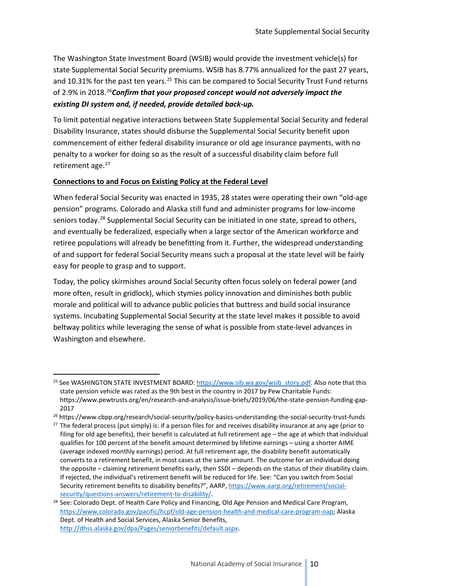The Washington State Investment Board (WSIB) would provide the investment vehicle(s) for state Supplemental Social Security premiums. WSIB has 8.77% annualized for the past 27 years, and 10.31% for the past ten years.<sup>[25](#page-9-0)</sup> This can be compared to Social Security Trust Fund returns of 2.9% in 2018.[26](#page-9-1)*Confirm that your proposed concept would not adversely impact the existing DI system and, if needed, provide detailed back-up.*

To limit potential negative interactions between State Supplemental Social Security and federal Disability Insurance, states should disburse the Supplemental Social Security benefit upon commencement of either federal disability insurance or old age insurance payments, with no penalty to a worker for doing so as the result of a successful disability claim before full retirement age.<sup>[27](#page-9-2)</sup>

#### **Connections to and Focus on Existing Policy at the Federal Level**

When federal Social Security was enacted in 1935, 28 states were operating their own "old-age pension" programs. Colorado and Alaska still fund and administer programs for low-income seniors today.<sup>[28](#page-9-3)</sup> Supplemental Social Security can be initiated in one state, spread to others, and eventually be federalized, especially when a large sector of the American workforce and retiree populations will already be benefitting from it. Further, the widespread understanding of and support for federal Social Security means such a proposal at the state level will be fairly easy for people to grasp and to support.

Today, the policy skirmishes around Social Security often focus solely on federal power (and more often, result in gridlock), which stymies policy innovation and diminishes both public morale and political will to advance public policies that buttress and build social insurance systems. Incubating Supplemental Social Security at the state level makes it possible to avoid beltway politics while leveraging the sense of what is possible from state-level advances in Washington and elsewhere.

<span id="page-9-0"></span><sup>&</sup>lt;sup>25</sup> See WASHINGTON STATE INVESTMENT BOARD: [https://www.sib.wa.gov/wsib\\_story.pdf.](https://www.sib.wa.gov/wsib_story.pdf) Also note that this state pension vehicle was rated as the 9th best in the country in 2017 by Pew Charitable Funds: https://www.pewtrusts.org/en/research-and-analysis/issue-briefs/2019/06/the-state-pension-funding-gap-2017

<span id="page-9-1"></span><sup>26</sup> https://www.cbpp.org/research/social-security/policy-basics-understanding-the-social-security-trust-funds

<span id="page-9-2"></span><sup>&</sup>lt;sup>27</sup> The federal process (put simply) is: if a person files for and receives disability insurance at any age (prior to filing for old age benefits), their benefit is calculated at full retirement age – the age at which that individual qualifies for 100 percent of the benefit amount determined by lifetime earnings – using a shorter AIME (average indexed monthly earnings) period. At full retirement age, the disability benefit automatically converts to a retirement benefit, in most cases at the same amount. The outcome for an individual doing the opposite – claiming retirement benefits early, then SSDI – depends on the status of their disability claim. If rejected, the individual's retirement benefit will be reduced for life. See: "Can you switch from Social Security retirement benefits to disability benefits?", AARP, [https://www.aarp.org/retirement/social](https://www.aarp.org/retirement/social-security/questions-answers/retirement-to-disability/)security/questions-answers/retirement-to-disability/.<br><sup>28</sup> See: Colorado Dept. of Health Care Policy and Financing, Old Age Pension and Medical Care Program,

<span id="page-9-3"></span>[https://www.colorado.gov/pacific/hcpf/old-age-pension-health-and-medical-care-program-oap;](https://www.colorado.gov/pacific/hcpf/old-age-pension-health-and-medical-care-program-oap) Alaska Dept. of Health and Social Services, Alaska Senior Benefits, [http://dhss.alaska.gov/dpa/Pages/seniorbenefits/default.aspx.](http://dhss.alaska.gov/dpa/Pages/seniorbenefits/default.aspx)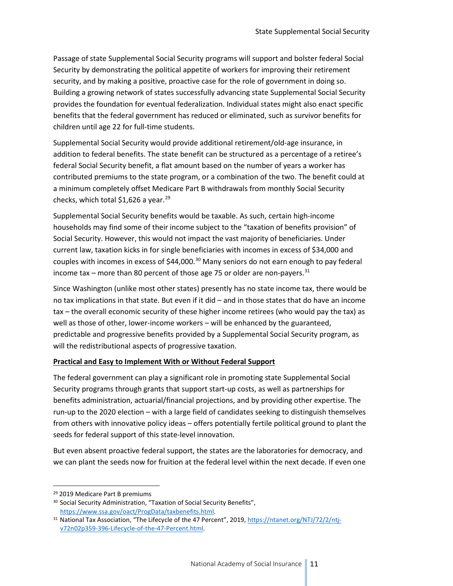Passage of state Supplemental Social Security programs will support and bolster federal Social Security by demonstrating the political appetite of workers for improving their retirement security, and by making a positive, proactive case for the role of government in doing so. Building a growing network of states successfully advancing state Supplemental Social Security provides the foundation for eventual federalization. Individual states might also enact specific benefits that the federal government has reduced or eliminated, such as survivor benefits for children until age 22 for full-time students.

Supplemental Social Security would provide additional retirement/old-age insurance, in addition to federal benefits. The state benefit can be structured as a percentage of a retiree's federal Social Security benefit, a flat amount based on the number of years a worker has contributed premiums to the state program, or a combination of the two. The benefit could at a minimum completely offset Medicare Part B withdrawals from monthly Social Security checks, which total \$1,626 a year.<sup>[29](#page-10-0)</sup>

Supplemental Social Security benefits would be taxable. As such, certain high-income households may find some of their income subject to the "taxation of benefits provision" of Social Security. However, this would not impact the vast majority of beneficiaries. Under current law, taxation kicks in for single beneficiaries with incomes in excess of \$34,000 and couples with incomes in excess of \$44,000.<sup>30</sup> Many seniors do not earn enough to pay federal income tax – more than 80 percent of those age 75 or older are non-payers.<sup>[31](#page-10-2)</sup>

Since Washington (unlike most other states) presently has no state income tax, there would be no tax implications in that state. But even if it did – and in those states that do have an income tax – the overall economic security of these higher income retirees (who would pay the tax) as well as those of other, lower-income workers – will be enhanced by the guaranteed, predictable and progressive benefits provided by a Supplemental Social Security program, as will the redistributional aspects of progressive taxation.

#### **Practical and Easy to Implement With or Without Federal Support**

The federal government can play a significant role in promoting state Supplemental Social Security programs through grants that support start-up costs, as well as partnerships for benefits administration, actuarial/financial projections, and by providing other expertise. The run-up to the 2020 election – with a large field of candidates seeking to distinguish themselves from others with innovative policy ideas – offers potentially fertile political ground to plant the seeds for federal support of this state-level innovation.

But even absent proactive federal support, the states are the laboratories for democracy, and we can plant the seeds now for fruition at the federal level within the next decade. If even one

<span id="page-10-0"></span> <sup>29</sup> 2019 Medicare Part B premiums

<span id="page-10-1"></span><sup>&</sup>lt;sup>30</sup> Social Security Administration, "Taxation of Social Security Benefits",

<span id="page-10-2"></span>https://www.ssa.gov/oact/ProgData/taxbenefits.html.<br><sup>31</sup> National Tax Association, "The Lifecycle of the 47 Percent", 2019[, https://ntanet.org/NTJ/72/2/ntj](https://ntanet.org/NTJ/72/2/ntj-v72n02p359-396-Lifecycle-of-the-47-Percent.html)[v72n02p359-396-Lifecycle-of-the-47-Percent.html.](https://ntanet.org/NTJ/72/2/ntj-v72n02p359-396-Lifecycle-of-the-47-Percent.html)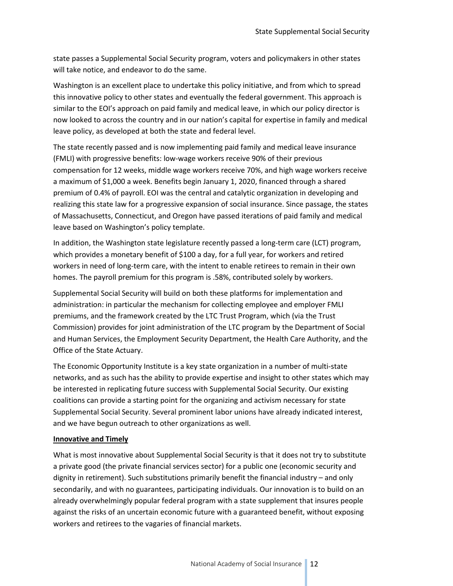state passes a Supplemental Social Security program, voters and policymakers in other states will take notice, and endeavor to do the same.

Washington is an excellent place to undertake this policy initiative, and from which to spread this innovative policy to other states and eventually the federal government. This approach is similar to the EOI's approach on paid family and medical leave, in which our policy director is now looked to across the country and in our nation's capital for expertise in family and medical leave policy, as developed at both the state and federal level.

The state recently passed and is now implementing paid family and medical leave insurance (FMLI) with progressive benefits: low-wage workers receive 90% of their previous compensation for 12 weeks, middle wage workers receive 70%, and high wage workers receive a maximum of \$1,000 a week. Benefits begin January 1, 2020, financed through a shared premium of 0.4% of payroll. EOI was the central and catalytic organization in developing and realizing this state law for a progressive expansion of social insurance. Since passage, the states of Massachusetts, Connecticut, and Oregon have passed iterations of paid family and medical leave based on Washington's policy template.

In addition, the Washington state legislature recently passed a long-term care (LCT) program, which provides a monetary benefit of \$100 a day, for a full year, for workers and retired workers in need of long-term care, with the intent to enable retirees to remain in their own homes. The payroll premium for this program is .58%, contributed solely by workers.

Supplemental Social Security will build on both these platforms for implementation and administration: in particular the mechanism for collecting employee and employer FMLI premiums, and the framework created by the LTC Trust Program, which (via the Trust Commission) provides for joint administration of the LTC program by the Department of Social and Human Services, the Employment Security Department, the Health Care Authority, and the Office of the State Actuary.

The Economic Opportunity Institute is a key state organization in a number of multi-state networks, and as such has the ability to provide expertise and insight to other states which may be interested in replicating future success with Supplemental Social Security. Our existing coalitions can provide a starting point for the organizing and activism necessary for state Supplemental Social Security. Several prominent labor unions have already indicated interest, and we have begun outreach to other organizations as well.

#### **Innovative and Timely**

What is most innovative about Supplemental Social Security is that it does not try to substitute a private good (the private financial services sector) for a public one (economic security and dignity in retirement). Such substitutions primarily benefit the financial industry – and only secondarily, and with no guarantees, participating individuals. Our innovation is to build on an already overwhelmingly popular federal program with a state supplement that insures people against the risks of an uncertain economic future with a guaranteed benefit, without exposing workers and retirees to the vagaries of financial markets.